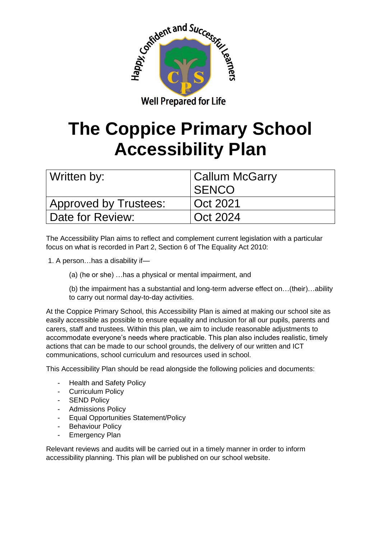

## **The Coppice Primary School Accessibility Plan**

| Written by:                  | <b>Callum McGarry</b><br><b>SENCO</b> |
|------------------------------|---------------------------------------|
| <b>Approved by Trustees:</b> | Oct 2021                              |
| Date for Review:             | Oct 2024                              |

The Accessibility Plan aims to reflect and complement current legislation with a particular focus on what is recorded in Part 2, Section 6 of The Equality Act 2010:

- 1. A person…has a disability if—
	- (a) (he or she) …has a physical or mental impairment, and
	- (b) the impairment has a substantial and long-term adverse effect on…(their)…ability to carry out normal day-to-day activities.

At the Coppice Primary School, this Accessibility Plan is aimed at making our school site as easily accessible as possible to ensure equality and inclusion for all our pupils, parents and carers, staff and trustees. Within this plan, we aim to include reasonable adjustments to accommodate everyone's needs where practicable. This plan also includes realistic, timely actions that can be made to our school grounds, the delivery of our written and ICT communications, school curriculum and resources used in school.

This Accessibility Plan should be read alongside the following policies and documents:

- **Health and Safety Policy**
- Curriculum Policy
- SEND Policy
- Admissions Policy
- Equal Opportunities Statement/Policy
- Behaviour Policy
- Emergency Plan

Relevant reviews and audits will be carried out in a timely manner in order to inform accessibility planning. This plan will be published on our school website.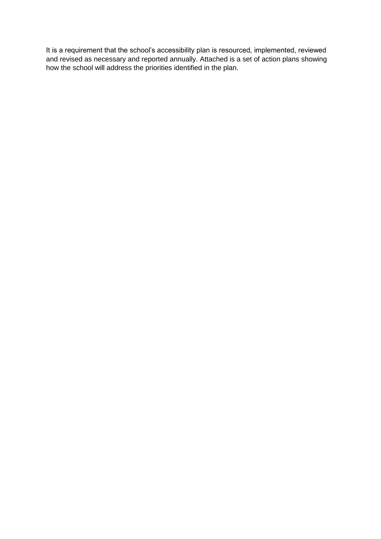It is a requirement that the school's accessibility plan is resourced, implemented, reviewed and revised as necessary and reported annually. Attached is a set of action plans showing how the school will address the priorities identified in the plan.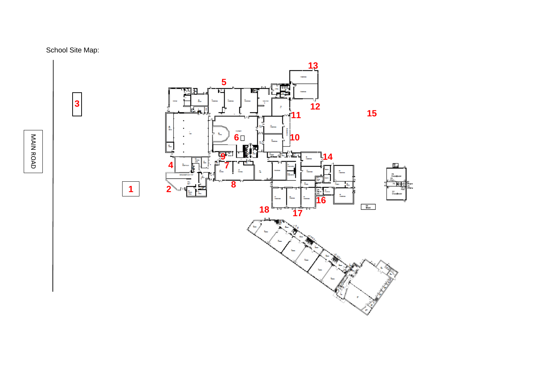



MAIN ROAD MAIN ROAD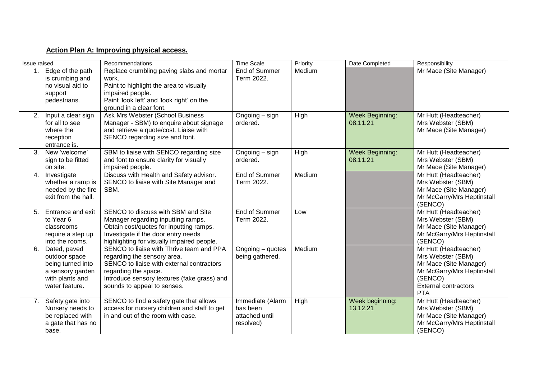## **Action Plan A: Improving physical access.**

| Issue raised |                                                                                                             | Recommendations                                                                                                                                                                                                            | <b>Time Scale</b>                                           | Priority | Date Completed                     | Responsibility                                                                                                                                             |
|--------------|-------------------------------------------------------------------------------------------------------------|----------------------------------------------------------------------------------------------------------------------------------------------------------------------------------------------------------------------------|-------------------------------------------------------------|----------|------------------------------------|------------------------------------------------------------------------------------------------------------------------------------------------------------|
| 1.           | Edge of the path<br>is crumbing and<br>no visual aid to<br>support<br>pedestrians.                          | Replace crumbling paving slabs and mortar<br>work.<br>Paint to highlight the area to visually<br>impaired people.<br>Paint 'look left' and 'look right' on the<br>ground in a clear font.                                  | End of Summer<br>Term 2022.                                 | Medium   |                                    | Mr Mace (Site Manager)                                                                                                                                     |
| 2.           | Input a clear sign<br>for all to see<br>where the<br>reception<br>entrance is.                              | Ask Mrs Webster (School Business<br>Manager - SBM) to enquire about signage<br>and retrieve a quote/cost. Liaise with<br>SENCO regarding size and font.                                                                    | Ongoing – sign<br>ordered.                                  | High     | <b>Week Beginning:</b><br>08.11.21 | Mr Hutt (Headteacher)<br>Mrs Webster (SBM)<br>Mr Mace (Site Manager)                                                                                       |
| 3.           | New 'welcome'<br>sign to be fitted<br>on site.                                                              | SBM to liaise with SENCO regarding size<br>and font to ensure clarity for visually<br>impaired people.                                                                                                                     | Ongoing – sign<br>ordered.                                  | High     | Week Beginning:<br>08.11.21        | Mr Hutt (Headteacher)<br>Mrs Webster (SBM)<br>Mr Mace (Site Manager)                                                                                       |
| 4.           | Investigate<br>whether a ramp is<br>needed by the fire<br>exit from the hall.                               | Discuss with Health and Safety advisor.<br>SENCO to liaise with Site Manager and<br>SBM.                                                                                                                                   | End of Summer<br>Term 2022.                                 | Medium   |                                    | Mr Hutt (Headteacher)<br>Mrs Webster (SBM)<br>Mr Mace (Site Manager)<br>Mr McGarry/Mrs Heptinstall<br>(SENCO)                                              |
| 5.           | Entrance and exit<br>to Year 6<br>classrooms<br>require a step up<br>into the rooms.                        | SENCO to discuss with SBM and Site<br>Manager regarding inputting ramps.<br>Obtain cost/quotes for inputting ramps.<br>Investigate if the door entry needs<br>highlighting for visually impaired people.                   | End of Summer<br>Term 2022.                                 | Low      |                                    | Mr Hutt (Headteacher)<br>Mrs Webster (SBM)<br>Mr Mace (Site Manager)<br>Mr McGarry/Mrs Heptinstall<br>(SENCO)                                              |
| 6.           | Dated, paved<br>outdoor space<br>being turned into<br>a sensory garden<br>with plants and<br>water feature. | SENCO to liaise with Thrive team and PPA<br>regarding the sensory area.<br>SENCO to liaise with external contractors<br>regarding the space.<br>Introduce sensory textures (fake grass) and<br>sounds to appeal to senses. | Ongoing - quotes<br>being gathered.                         | Medium   |                                    | Mr Hutt (Headteacher)<br>Mrs Webster (SBM)<br>Mr Mace (Site Manager)<br>Mr McGarry/Mrs Heptinstall<br>(SENCO)<br><b>External contractors</b><br><b>PTA</b> |
|              | 7. Safety gate into<br>Nursery needs to<br>be replaced with<br>a gate that has no<br>base.                  | SENCO to find a safety gate that allows<br>access for nursery children and staff to get<br>in and out of the room with ease.                                                                                               | Immediate (Alarm<br>has been<br>attached until<br>resolved) | High     | Week beginning:<br>13.12.21        | Mr Hutt (Headteacher)<br>Mrs Webster (SBM)<br>Mr Mace (Site Manager)<br>Mr McGarry/Mrs Heptinstall<br>(SENCO)                                              |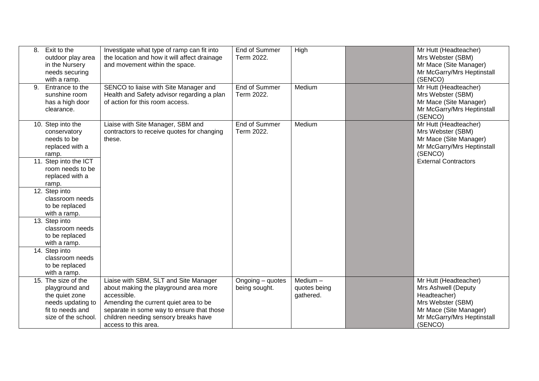| 8. | Exit to the<br>outdoor play area<br>in the Nursery<br>needs securing<br>with a ramp.                                                                  | Investigate what type of ramp can fit into<br>the location and how it will affect drainage<br>and movement within the space.                                                                                                                        | End of Summer<br>Term 2022.        | High                                    | Mr Hutt (Headteacher)<br>Mrs Webster (SBM)<br>Mr Mace (Site Manager)<br>Mr McGarry/Mrs Heptinstall<br>(SENCO)                                        |
|----|-------------------------------------------------------------------------------------------------------------------------------------------------------|-----------------------------------------------------------------------------------------------------------------------------------------------------------------------------------------------------------------------------------------------------|------------------------------------|-----------------------------------------|------------------------------------------------------------------------------------------------------------------------------------------------------|
| 9. | Entrance to the<br>sunshine room<br>has a high door<br>clearance.                                                                                     | SENCO to liaise with Site Manager and<br>Health and Safety advisor regarding a plan<br>of action for this room access.                                                                                                                              | <b>End of Summer</b><br>Term 2022. | Medium                                  | Mr Hutt (Headteacher)<br>Mrs Webster (SBM)<br>Mr Mace (Site Manager)<br>Mr McGarry/Mrs Heptinstall<br>(SENCO)                                        |
|    | 10. Step into the<br>conservatory<br>needs to be<br>replaced with a<br>ramp.<br>11. Step into the ICT<br>room needs to be<br>replaced with a<br>ramp. | Liaise with Site Manager, SBM and<br>contractors to receive quotes for changing<br>these.                                                                                                                                                           | End of Summer<br>Term 2022.        | Medium                                  | Mr Hutt (Headteacher)<br>Mrs Webster (SBM)<br>Mr Mace (Site Manager)<br>Mr McGarry/Mrs Heptinstall<br>(SENCO)<br><b>External Contractors</b>         |
|    | 12. Step into<br>classroom needs<br>to be replaced<br>with a ramp.                                                                                    |                                                                                                                                                                                                                                                     |                                    |                                         |                                                                                                                                                      |
|    | 13. Step into<br>classroom needs<br>to be replaced<br>with a ramp.                                                                                    |                                                                                                                                                                                                                                                     |                                    |                                         |                                                                                                                                                      |
|    | 14. Step into<br>classroom needs<br>to be replaced<br>with a ramp.                                                                                    |                                                                                                                                                                                                                                                     |                                    |                                         |                                                                                                                                                      |
|    | 15. The size of the<br>playground and<br>the quiet zone<br>needs updating to<br>fit to needs and<br>size of the school.                               | Liaise with SBM, SLT and Site Manager<br>about making the playground area more<br>accessible.<br>Amending the current quiet area to be<br>separate in some way to ensure that those<br>children needing sensory breaks have<br>access to this area. | Ongoing - quotes<br>being sought.  | Medium $-$<br>quotes being<br>gathered. | Mr Hutt (Headteacher)<br>Mrs Ashwell (Deputy<br>Headteacher)<br>Mrs Webster (SBM)<br>Mr Mace (Site Manager)<br>Mr McGarry/Mrs Heptinstall<br>(SENCO) |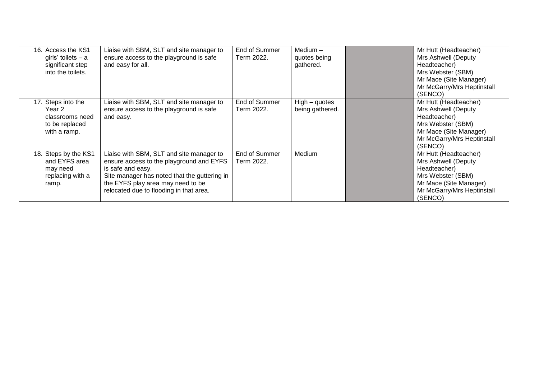| 16. Access the KS1<br>girls' toilets $- a$<br>significant step<br>into the toilets. | Liaise with SBM, SLT and site manager to<br>ensure access to the playground is safe<br>and easy for all.                                                                                                                                  | End of Summer<br>Term 2022. | Medium $-$<br>quotes being<br>gathered. | Mr Hutt (Headteacher)<br>Mrs Ashwell (Deputy<br>Headteacher)<br>Mrs Webster (SBM)<br>Mr Mace (Site Manager)<br>Mr McGarry/Mrs Heptinstall<br>(SENCO) |
|-------------------------------------------------------------------------------------|-------------------------------------------------------------------------------------------------------------------------------------------------------------------------------------------------------------------------------------------|-----------------------------|-----------------------------------------|------------------------------------------------------------------------------------------------------------------------------------------------------|
| 17. Steps into the<br>Year 2<br>classrooms need<br>to be replaced<br>with a ramp.   | Liaise with SBM, SLT and site manager to<br>ensure access to the playground is safe<br>and easy.                                                                                                                                          | End of Summer<br>Term 2022. | $High - quotes$<br>being gathered.      | Mr Hutt (Headteacher)<br>Mrs Ashwell (Deputy<br>Headteacher)<br>Mrs Webster (SBM)<br>Mr Mace (Site Manager)<br>Mr McGarry/Mrs Heptinstall<br>(SENCO) |
| 18. Steps by the KS1<br>and EYFS area<br>may need<br>replacing with a<br>ramp.      | Liaise with SBM, SLT and site manager to<br>ensure access to the playground and EYFS<br>is safe and easy.<br>Site manager has noted that the guttering in<br>the EYFS play area may need to be<br>relocated due to flooding in that area. | End of Summer<br>Term 2022. | Medium                                  | Mr Hutt (Headteacher)<br>Mrs Ashwell (Deputy<br>Headteacher)<br>Mrs Webster (SBM)<br>Mr Mace (Site Manager)<br>Mr McGarry/Mrs Heptinstall<br>(SENCO) |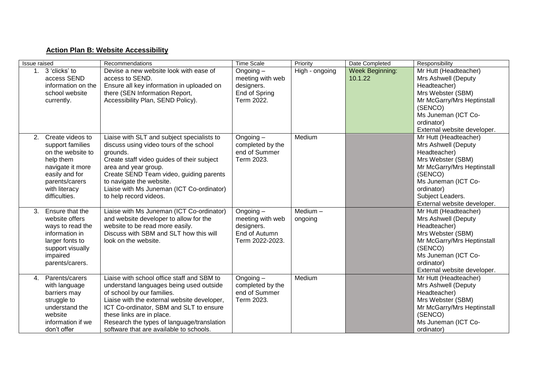## **Action Plan B: Website Accessibility**

| Issue raised |                                                                                                                                                                  | Recommendations                                                                                                                                                                                                                                                                                                                     | <b>Time Scale</b>                                                                 | Priority              | Date Completed                    | Responsibility                                                                                                                                                                                                     |
|--------------|------------------------------------------------------------------------------------------------------------------------------------------------------------------|-------------------------------------------------------------------------------------------------------------------------------------------------------------------------------------------------------------------------------------------------------------------------------------------------------------------------------------|-----------------------------------------------------------------------------------|-----------------------|-----------------------------------|--------------------------------------------------------------------------------------------------------------------------------------------------------------------------------------------------------------------|
|              | 1. 3 'clicks' to<br>access SEND<br>information on the<br>school website<br>currently.                                                                            | Devise a new website look with ease of<br>access to SEND.<br>Ensure all key information in uploaded on<br>there (SEN Information Report,<br>Accessibility Plan, SEND Policy).                                                                                                                                                       | Ongoing $-$<br>meeting with web<br>designers.<br>End of Spring<br>Term 2022.      | High - ongoing        | <b>Week Beginning:</b><br>10.1.22 | Mr Hutt (Headteacher)<br>Mrs Ashwell (Deputy<br>Headteacher)<br>Mrs Webster (SBM)<br>Mr McGarry/Mrs Heptinstall<br>(SENCO)<br>Ms Juneman (ICT Co-<br>ordinator)<br>External website developer.                     |
| 2.           | Create videos to<br>support families<br>on the website to<br>help them<br>navigate it more<br>easily and for<br>parents/carers<br>with literacy<br>difficulties. | Liaise with SLT and subject specialists to<br>discuss using video tours of the school<br>grounds.<br>Create staff video guides of their subject<br>area and year group.<br>Create SEND Team video, guiding parents<br>to navigate the website.<br>Liaise with Ms Juneman (ICT Co-ordinator)<br>to help record videos.               | Ongoing $-$<br>completed by the<br>end of Summer<br>Term 2023.                    | Medium                |                                   | Mr Hutt (Headteacher)<br>Mrs Ashwell (Deputy<br>Headteacher)<br>Mrs Webster (SBM)<br>Mr McGarry/Mrs Heptinstall<br>(SENCO)<br>Ms Juneman (ICT Co-<br>ordinator)<br>Subject Leaders.<br>External website developer. |
| 3.           | Ensure that the<br>website offers<br>ways to read the<br>information in<br>larger fonts to<br>support visually<br>impaired<br>parents/carers.                    | Liaise with Ms Juneman (ICT Co-ordinator)<br>and website developer to allow for the<br>website to be read more easily.<br>Discuss with SBM and SLT how this will<br>look on the website.                                                                                                                                            | Ongoing $-$<br>meeting with web<br>designers.<br>End of Autumn<br>Term 2022-2023. | Medium $-$<br>ongoing |                                   | Mr Hutt (Headteacher)<br>Mrs Ashwell (Deputy<br>Headteacher)<br>Mrs Webster (SBM)<br>Mr McGarry/Mrs Heptinstall<br>(SENCO)<br>Ms Juneman (ICT Co-<br>ordinator)<br>External website developer.                     |
| $\mathbf{4}$ | Parents/carers<br>with language<br>barriers may<br>struggle to<br>understand the<br>website<br>information if we<br>don't offer                                  | Liaise with school office staff and SBM to<br>understand languages being used outside<br>of school by our families.<br>Liaise with the external website developer,<br>ICT Co-ordinator, SBM and SLT to ensure<br>these links are in place.<br>Research the types of language/translation<br>software that are available to schools. | Ongoing $-$<br>completed by the<br>end of Summer<br>Term 2023.                    | Medium                |                                   | Mr Hutt (Headteacher)<br>Mrs Ashwell (Deputy<br>Headteacher)<br>Mrs Webster (SBM)<br>Mr McGarry/Mrs Heptinstall<br>(SENCO)<br>Ms Juneman (ICT Co-<br>ordinator)                                                    |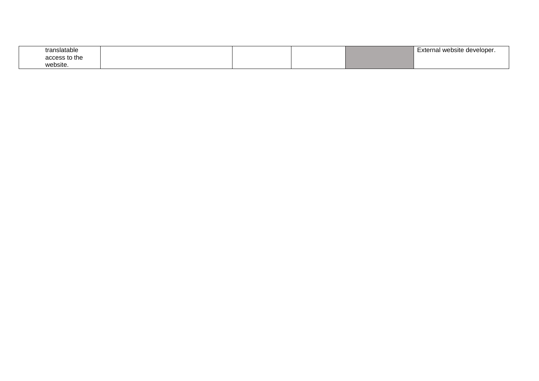| translatable  |  |  | External website developer. |
|---------------|--|--|-----------------------------|
| access to the |  |  |                             |
| website.      |  |  |                             |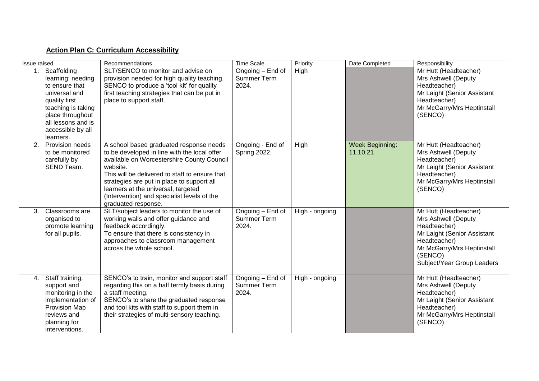## **Action Plan C: Curriculum Accessibility**

| Issue raised |                                                                                                                                                                                           | Recommendations                                                                                                                                                                                                                                                                                                                                                | <b>Time Scale</b>                               | Priority       | Date Completed                     | Responsibility                                                                                                                                                                     |
|--------------|-------------------------------------------------------------------------------------------------------------------------------------------------------------------------------------------|----------------------------------------------------------------------------------------------------------------------------------------------------------------------------------------------------------------------------------------------------------------------------------------------------------------------------------------------------------------|-------------------------------------------------|----------------|------------------------------------|------------------------------------------------------------------------------------------------------------------------------------------------------------------------------------|
|              | 1. Scaffolding<br>learning: needing<br>to ensure that<br>universal and<br>quality first<br>teaching is taking<br>place throughout<br>all lessons and is<br>accessible by all<br>learners. | SLT/SENCO to monitor and advise on<br>provision needed for high quality teaching.<br>SENCO to produce a 'tool kit' for quality<br>first teaching strategies that can be put in<br>place to support staff.                                                                                                                                                      | Ongoing - End of<br><b>Summer Term</b><br>2024. | High           |                                    | Mr Hutt (Headteacher)<br>Mrs Ashwell (Deputy<br>Headteacher)<br>Mr Laight (Senior Assistant<br>Headteacher)<br>Mr McGarry/Mrs Heptinstall<br>(SENCO)                               |
| 2.           | Provision needs<br>to be monitored<br>carefully by<br>SEND Team.                                                                                                                          | A school based graduated response needs<br>to be developed in line with the local offer<br>available on Worcestershire County Council<br>website.<br>This will be delivered to staff to ensure that<br>strategies are put in place to support all<br>learners at the universal, targeted<br>(Intervention) and specialist levels of the<br>graduated response. | Ongoing - End of<br>Spring 2022.                | High           | <b>Week Beginning:</b><br>11.10.21 | Mr Hutt (Headteacher)<br>Mrs Ashwell (Deputy<br>Headteacher)<br>Mr Laight (Senior Assistant<br>Headteacher)<br>Mr McGarry/Mrs Heptinstall<br>(SENCO)                               |
| 3.           | Classrooms are<br>organised to<br>promote learning<br>for all pupils.                                                                                                                     | SLT/subject leaders to monitor the use of<br>working walls and offer guidance and<br>feedback accordingly.<br>To ensure that there is consistency in<br>approaches to classroom management<br>across the whole school.                                                                                                                                         | Ongoing – End of<br><b>Summer Term</b><br>2024. | High - ongoing |                                    | Mr Hutt (Headteacher)<br>Mrs Ashwell (Deputy<br>Headteacher)<br>Mr Laight (Senior Assistant<br>Headteacher)<br>Mr McGarry/Mrs Heptinstall<br>(SENCO)<br>Subject/Year Group Leaders |
| 4.           | Staff training,<br>support and<br>monitoring in the<br>implementation of<br>Provision Map<br>reviews and<br>planning for<br>interventions.                                                | SENCO's to train, monitor and support staff<br>regarding this on a half termly basis during<br>a staff meeting.<br>SENCO's to share the graduated response<br>and tool kits with staff to support them in<br>their strategies of multi-sensory teaching.                                                                                                       | Ongoing - End of<br>Summer Term<br>2024.        | High - ongoing |                                    | Mr Hutt (Headteacher)<br>Mrs Ashwell (Deputy<br>Headteacher)<br>Mr Laight (Senior Assistant<br>Headteacher)<br>Mr McGarry/Mrs Heptinstall<br>(SENCO)                               |